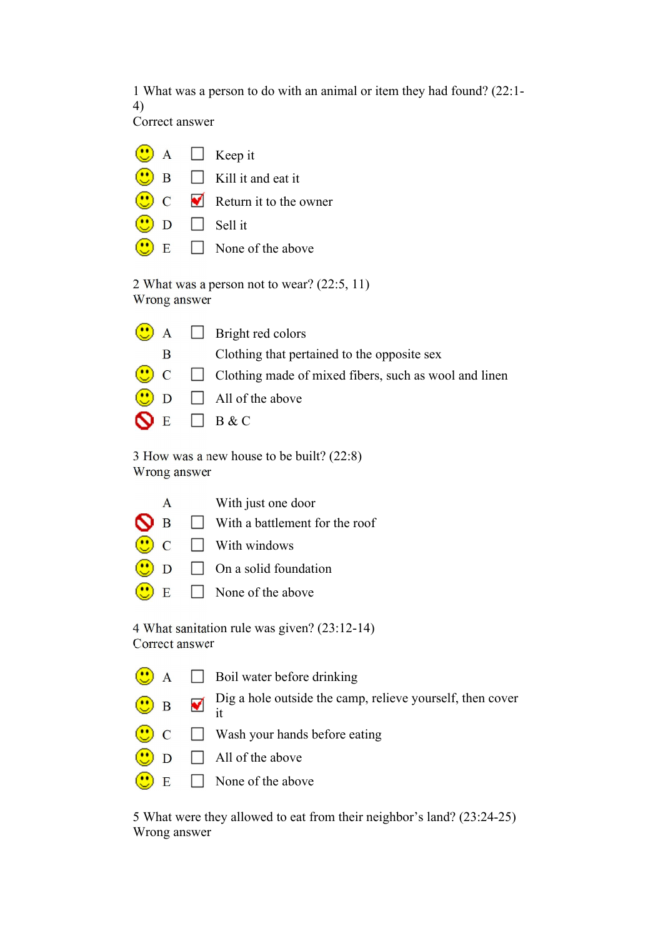1 What was a person to do with an animal or item they had found? (22:1- 4)

Correct answer

|                                                               |  |  | $\bigcirc$ A $\Box$ Keep it             |  |
|---------------------------------------------------------------|--|--|-----------------------------------------|--|
|                                                               |  |  | $\bigcirc$ B $\Box$ Kill it and eat it  |  |
|                                                               |  |  | $\overline{C}$ C Return it to the owner |  |
|                                                               |  |  | $\bigcirc$ D $\Box$ Sell it             |  |
|                                                               |  |  | $\bigcirc$ E $\Box$ None of the above   |  |
| 2 What was a person not to wear? $(22:5, 11)$<br>Wrong answer |  |  |                                         |  |

|              | $\left(\bigcup_{n=1}^{\infty} A_n\right)$ Bright red colors               |
|--------------|---------------------------------------------------------------------------|
| $\mathbf{B}$ | Clothing that pertained to the opposite sex                               |
|              | $\bigcirc$ C $\Box$ Clothing made of mixed fibers, such as wool and linen |
|              | $\bigcirc$ D $\Box$ All of the above                                      |
|              | $\bigcap_{E} E$ $B \& C$                                                  |

3 How was a new house to be built? (22:8) Wrong answer

| A | With just one door                                 |
|---|----------------------------------------------------|
|   | $\bigcirc$ B $\Box$ With a battlement for the roof |
|   | $\bigodot$ C $\Box$ With windows                   |
|   | $\bigcirc$ D $\Box$ On a solid foundation          |
|   | $\bigcirc$ E $\Box$ None of the above              |

4 What sanitation rule was given? (23:12-14) Correct answer

- $\bigcirc$  A  $\Box$  Boil water before drinking
	- $\Box$  Dig a hole outside the camp, relieve yourself, then cover
- $\bigodot$  B it
- $\bigcirc$  C  $\Box$  Wash your hands before eating
- $\bigodot$  D  $\Box$  All of the above
- $\left(\begin{array}{c} \bullet \\ \bullet \end{array}\right)$  E  $\Box$  None of the above

5 What were they allowed to eat from their neighbor's land? (23:24-25) Wrong answer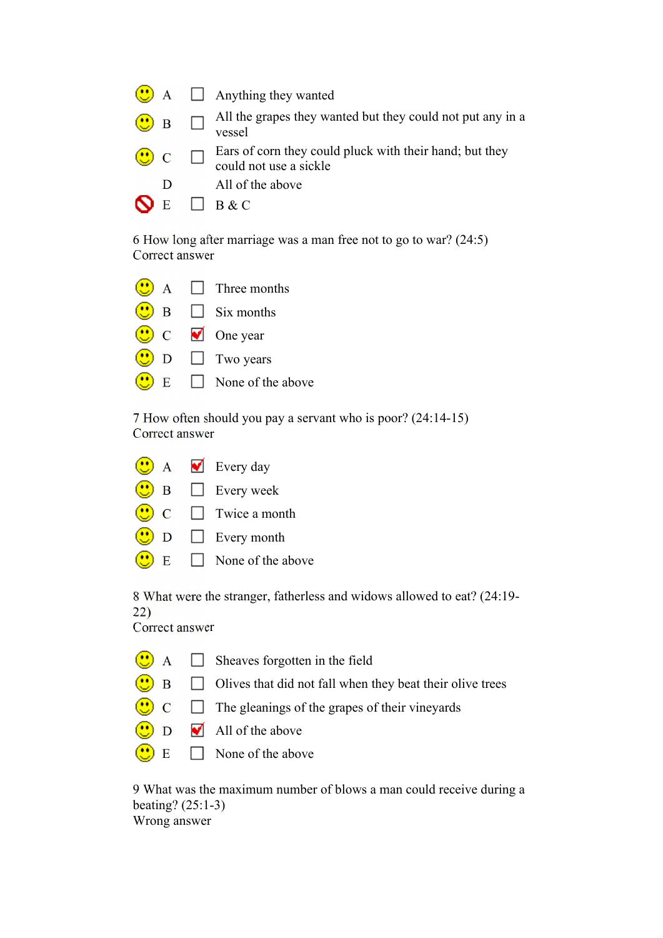|                     | $\bigcirc$ A $\Box$ Anything they wanted                                                           |
|---------------------|----------------------------------------------------------------------------------------------------|
| $\bigcirc$ B $\Box$ | All the grapes they wanted but they could not put any in a vessel                                  |
|                     | $\bigcirc$ C $\Box$ Ears of corn they could pluck with their hand; but they could not use a sickle |
| D                   | All of the above                                                                                   |
| E                   | $\Box$ B & C                                                                                       |

6 How long after marriage was a man free not to go to war? (24:5) Correct answer

|              | $A \Box$ Three months               |
|--------------|-------------------------------------|
| B            | $\Box$ Six months                   |
|              | $\mathbf C$ $\blacksquare$ One year |
| D            | $\Box$ Two years                    |
| $\mathbf{E}$ | $\Box$ None of the above            |

7 How often should you pay a servant who is poor? (24:14-15) Correct answer

|   | A Every day              |
|---|--------------------------|
| B | $\Box$ Every week        |
|   | $\Box$ Twice a month     |
| D | $\Box$ Every month       |
| E | $\Box$ None of the above |

8 What were the stranger, fatherless and widows allowed to eat? (24:19- 22)

Correct answer

|  | $\bigcirc$ A $\Box$ Sheaves forgotten in the field |
|--|----------------------------------------------------|
|--|----------------------------------------------------|

- $\bigcirc$  B  $\Box$  Olives that did not fall when they beat their olive trees
- $\overline{\mathbf{C}}$   $\Box$  The gleanings of the grapes of their vineyards
- $\bullet$  D  $\bullet$  All of the above
- $\circ$  $E \Box$  None of the above

9 What was the maximum number of blows a man could receive during a beating? (25:1-3) Wrong answer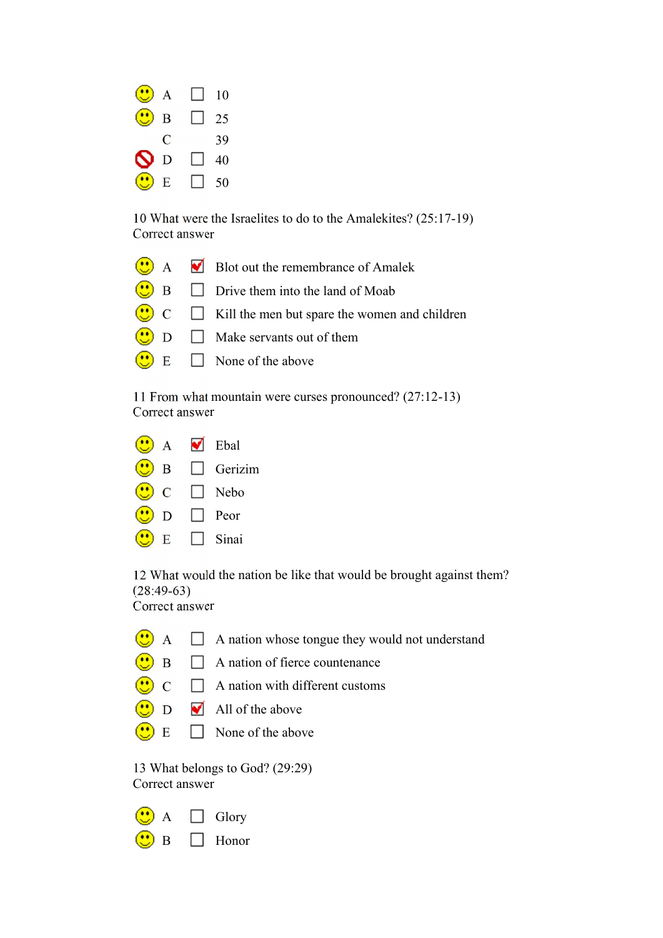

10 What were the Israelites to do to the Amalekites? (25:17-19) Correct answer

|  | $\bigcirc$ A $\blacksquare$ Blot out the remembrance of Amalek    |
|--|-------------------------------------------------------------------|
|  | $\bigcirc$ B $\Box$ Drive them into the land of Moab              |
|  | $\bigcirc$ C $\Box$ Kill the men but spare the women and children |
|  | $\bigcirc$ D $\Box$ Make servants out of them                     |
|  | $\bigodot$ E $\Box$ None of the above                             |
|  |                                                                   |

11 From what mountain were curses pronounced? (27:12-13) Correct answer

| $\mathbf{A}$  | ✔ | Ebal           |
|---------------|---|----------------|
| B             |   | $\Box$ Gerizim |
| $\mathcal{C}$ |   | $\Box$ Nebo    |
| D             |   | Peor           |
| F.            |   | Sinai          |

12 What would the nation be like that would be brought against them? (28:49-63) Correct answer

- $\bigodot$  A  $\Box$  A nation whose tongue they would not understand
- $\bigodot$  B  $\Box$  A nation of fierce countenance
- $\Box$  A nation with different customs  $\bigcirc$
- $\bigcirc$  D  $\blacksquare$  All of the above
- $\overline{\mathbf{C}}$  E  $\Box$  None of the above

13 What belongs to God? (29:29) Correct answer

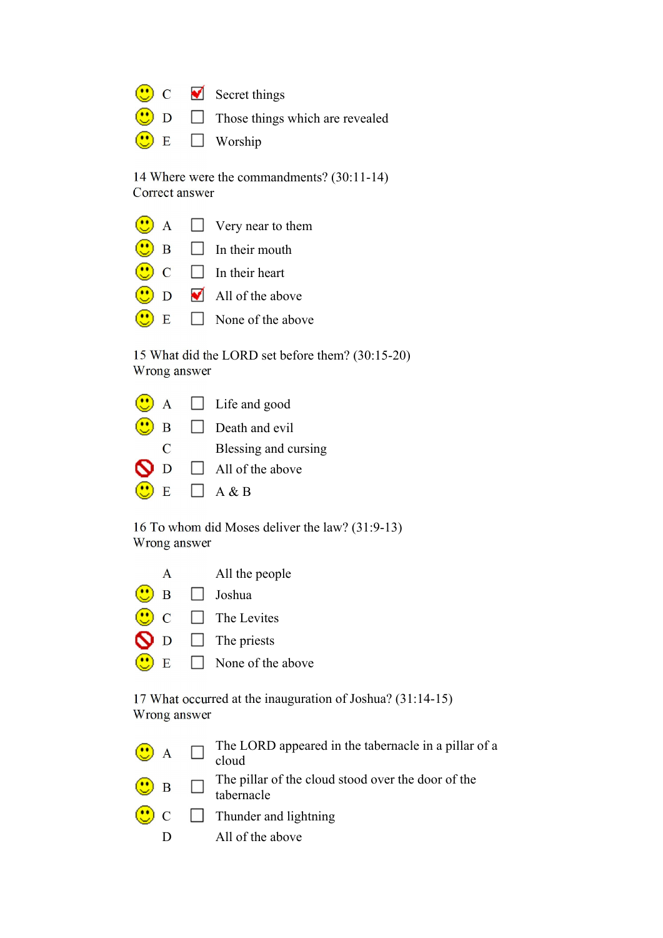|  | $\bigcirc$ C $\bigcirc$ Secret things               |
|--|-----------------------------------------------------|
|  | $\bigcirc$ D $\Box$ Those things which are revealed |
|  | $\bigcirc$ E $\Box$ Worship                         |

14 Where were the commandments? (30:11-14) Correct answer

|   |              | $A \Box$ Very near to them      |
|---|--------------|---------------------------------|
|   | $\mathbf{B}$ | $\Box$ In their mouth           |
|   |              | $\Box$ In their heart           |
| D |              | $\blacksquare$ All of the above |
|   | $\mathbf{E}$ | $\Box$ None of the above        |

15 What did the LORD set before them? (30:15-20) Wrong answer

|                | $A \Box$ Life and good |
|----------------|------------------------|
| $\overline{B}$ | $\Box$ Death and evil  |
| $\mathbf C$    | Blessing and cursing   |
| N <sub>D</sub> | All of the above       |
| E              | $\Box$ A & B           |

 $\sim$ 

16 To whom did Moses deliver the law? (31:9-13) Wrong answer

| A   | All the people           |
|-----|--------------------------|
|     | $\Box$ Joshua            |
|     | $\Box$ The Levites       |
| N D | $\Box$ The priests       |
| E   | $\Box$ None of the above |

17 What occurred at the inauguration of Joshua? (31:14-15) Wrong answer

|  | $\bigodot$ A $\Box$ The LORD appeared in the tabernacle in a pillar of a cloud |
|--|--------------------------------------------------------------------------------|
|  | $\bigcirc$ B $\Box$ The pillar of the cloud stood over the door of the         |

- tabernacle
- $\bigcirc$  C  $\Box$  Thunder and lightning
	- D All of the above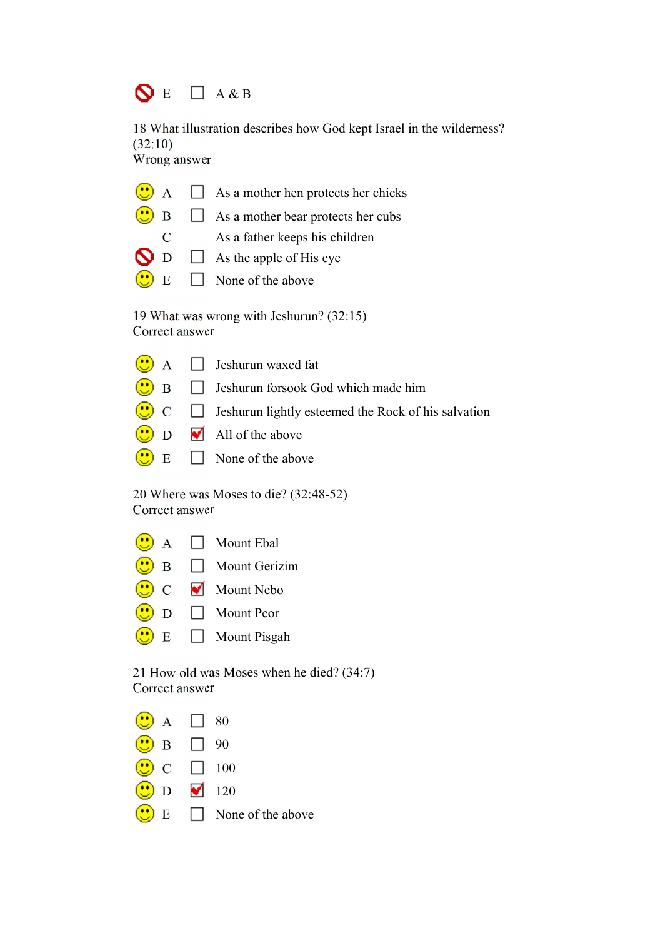## $\bigcirc$  E  $\Box$  A & B

18 What illustration describes how God kept Israel in the wilderness?  $(32:10)$ 

Wrong answer

|   | $\bigcirc$ A $\Box$ As a mother hen protects her chicks                     |  |
|---|-----------------------------------------------------------------------------|--|
|   | $\bigcirc$ B $\Box$ As a mother bear protects her cubs                      |  |
| C | As a father keeps his children                                              |  |
|   | $\bigcap_{n=1}^{\infty}$ D $\bigcap_{n=1}^{\infty}$ As the apple of His eye |  |
|   | $\bigcirc$ E $\Box$ None of the above                                       |  |

19 What was wrong with Jeshurun? (32:15) Correct answer

| $\bigcirc$ A $\Box$ Jeshurun waxed fat                                            |
|-----------------------------------------------------------------------------------|
| $\bigcirc$ B $\Box$ Jeshurun forsook God which made him                           |
| $\overline{\bullet}$ C $\Box$ Jeshurun lightly esteemed the Rock of his salvation |
| $\bigcirc$ D $\blacksquare$ All of the above                                      |
| $\bigcirc$ E $\Box$ None of the above                                             |

20 Where was Moses to die? (32:48-52) Correct answer

 $\bigodot$  A  $\Box$  Mount Ebal  $\bigcirc$  B  $\Box$  Mount Gerizim C Mount Nebo  $\bigcirc$  D  $\Box$  Mount Peor  $\bigodot$  E  $\Box$  Mount Pisgah

21 How old was Moses when he died? (34:7) Correct answer